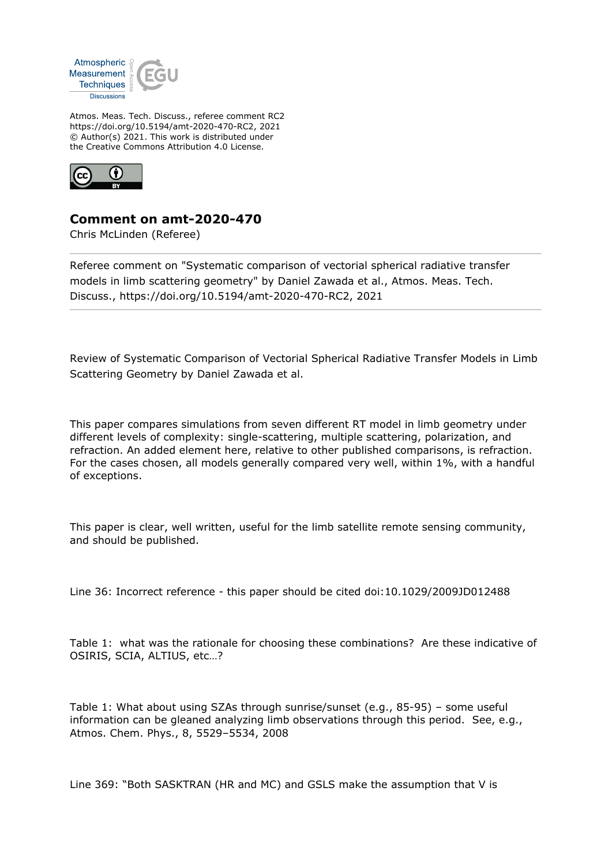

Atmos. Meas. Tech. Discuss., referee comment RC2 https://doi.org/10.5194/amt-2020-470-RC2, 2021 © Author(s) 2021. This work is distributed under the Creative Commons Attribution 4.0 License.



## **Comment on amt-2020-470**

Chris McLinden (Referee)

Referee comment on "Systematic comparison of vectorial spherical radiative transfer models in limb scattering geometry" by Daniel Zawada et al., Atmos. Meas. Tech. Discuss., https://doi.org/10.5194/amt-2020-470-RC2, 2021

Review of Systematic Comparison of Vectorial Spherical Radiative Transfer Models in Limb Scattering Geometry by Daniel Zawada et al.

This paper compares simulations from seven different RT model in limb geometry under different levels of complexity: single-scattering, multiple scattering, polarization, and refraction. An added element here, relative to other published comparisons, is refraction. For the cases chosen, all models generally compared very well, within 1%, with a handful of exceptions.

This paper is clear, well written, useful for the limb satellite remote sensing community, and should be published.

Line 36: Incorrect reference - this paper should be cited doi:10.1029/2009JD012488

Table 1: what was the rationale for choosing these combinations? Are these indicative of OSIRIS, SCIA, ALTIUS, etc…?

Table 1: What about using SZAs through sunrise/sunset (e.g., 85-95) – some useful information can be gleaned analyzing limb observations through this period. See, e.g., Atmos. Chem. Phys., 8, 5529–5534, 2008

Line 369: "Both SASKTRAN (HR and MC) and GSLS make the assumption that V is